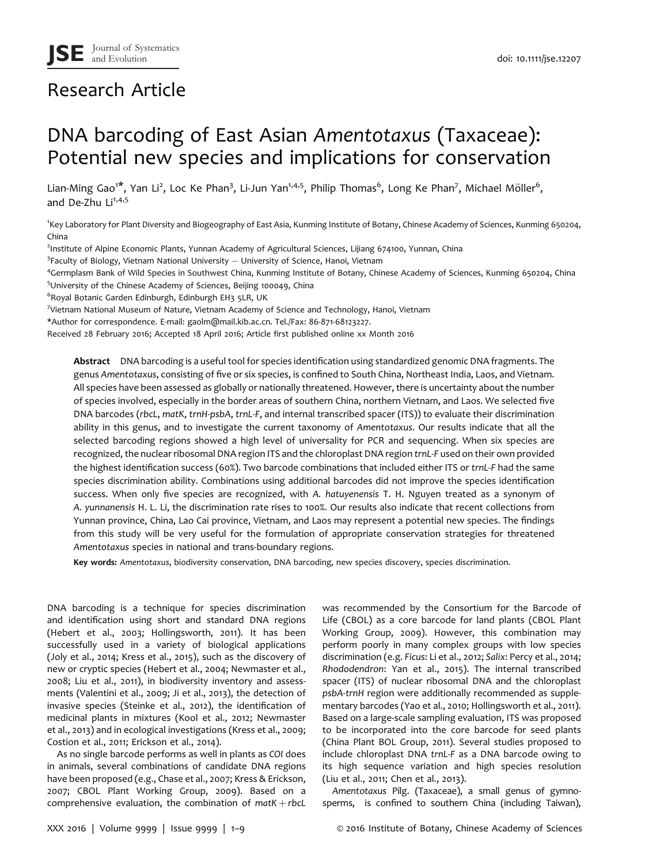# Research Article

# DNA barcoding of East Asian Amentotaxus (Taxaceae): Potential new species and implications for conservation

Lian-Ming Gao<sup>1\*</sup>, Yan Li<sup>2</sup>, Loc Ke Phan<sup>3</sup>, Li-Jun Yan<sup>1,4,5</sup>, Philip Thomas<sup>6</sup>, Long Ke Phan<sup>7</sup>, Michael Möller<sup>6</sup>, and De-Zhu Li<sup>1,4,5</sup>

1 Key Laboratory for Plant Diversity and Biogeography of East Asia, Kunming Institute of Botany, Chinese Academy of Sciences, Kunming 650204, China

2 Institute of Alpine Economic Plants, Yunnan Academy of Agricultural Sciences, Lijiang 674100, Yunnan, China

<sup>3</sup>Faculty of Biology, Vietnam National University – University of Science, Hanoi, Vietnam<br><sup>4</sup>Cermplasm Bank of Wild Species in Southwest China. Kunming Institute of Botany, Chii

Germplasm Bank of Wild Species in Southwest China, Kunming Institute of Botany, Chinese Academy of Sciences, Kunming 650204, China 5 University of the Chinese Academy of Sciences, Beijing 100049, China

6 Royal Botanic Garden Edinburgh, Edinburgh EH3 5LR, UK

<sup>7</sup>Vietnam National Museum of Nature, Vietnam Academy of Science and Technology, Hanoi, Vietnam

\*Author for correspondence. E-mail: gaolm@mail.kib.ac.cn. Tel./Fax: 86-871-68123227.

Received 28 February 2016; Accepted 18 April 2016; Article first published online xx Month 2016

Abstract DNA barcoding is a useful tool for species identification using standardized genomic DNA fragments. The genus Amentotaxus, consisting of five or six species, is confined to South China, Northeast India, Laos, and Vietnam. All species have been assessed as globally or nationally threatened. However, there is uncertainty about the number of species involved, especially in the border areas of southern China, northern Vietnam, and Laos. We selected five DNA barcodes (rbcL, matK, trnH-psbA, trnL-F, and internal transcribed spacer (ITS)) to evaluate their discrimination ability in this genus, and to investigate the current taxonomy of Amentotaxus. Our results indicate that all the selected barcoding regions showed a high level of universality for PCR and sequencing. When six species are recognized, the nuclear ribosomal DNA region ITS and the chloroplast DNA region trnL-F used on their own provided the highest identification success (60%). Two barcode combinations that included either ITS or trnL-F had the same species discrimination ability. Combinations using additional barcodes did not improve the species identification success. When only five species are recognized, with A. hatuyenensis T. H. Nguyen treated as a synonym of A. yunnanensis H. L. Li, the discrimination rate rises to 100%. Our results also indicate that recent collections from Yunnan province, China, Lao Cai province, Vietnam, and Laos may represent a potential new species. The findings from this study will be very useful for the formulation of appropriate conservation strategies for threatened Amentotaxus species in national and trans-boundary regions.

Key words: Amentotaxus, biodiversity conservation, DNA barcoding, new species discovery, species discrimination.

DNA barcoding is a technique for species discrimination and identification using short and standard DNA regions (Hebert et al., 2003; Hollingsworth, 2011). It has been successfully used in a variety of biological applications (Joly et al., 2014; Kress et al., 2015), such as the discovery of new or cryptic species (Hebert et al., 2004; Newmaster et al., 2008; Liu et al., 2011), in biodiversity inventory and assessments (Valentini et al., 2009; Ji et al., 2013), the detection of invasive species (Steinke et al., 2012), the identification of medicinal plants in mixtures (Kool et al., 2012; Newmaster et al., 2013) and in ecological investigations (Kress et al., 2009; Costion et al., 2011; Erickson et al., 2014).

As no single barcode performs as well in plants as COI does in animals, several combinations of candidate DNA regions have been proposed (e.g., Chase et al., 2007; Kress & Erickson, 2007; CBOL Plant Working Group, 2009). Based on a comprehensive evaluation, the combination of  $text$   $H + rbc$ 

was recommended by the Consortium for the Barcode of Life (CBOL) as a core barcode for land plants (CBOL Plant Working Group, 2009). However, this combination may perform poorly in many complex groups with low species discrimination (e.g. Ficus: Li et al., 2012; Salix: Percy et al., 2014; Rhododendron: Yan et al., 2015). The internal transcribed spacer (ITS) of nuclear ribosomal DNA and the chloroplast psbA-trnH region were additionally recommended as supplementary barcodes (Yao et al., 2010; Hollingsworth et al., 2011). Based on a large-scale sampling evaluation, ITS was proposed to be incorporated into the core barcode for seed plants (China Plant BOL Group, 2011). Several studies proposed to include chloroplast DNA trnL-F as a DNA barcode owing to its high sequence variation and high species resolution (Liu et al., 2011; Chen et al., 2013).

Amentotaxus Pilg. (Taxaceae), a small genus of gymnosperms, is confined to southern China (including Taiwan),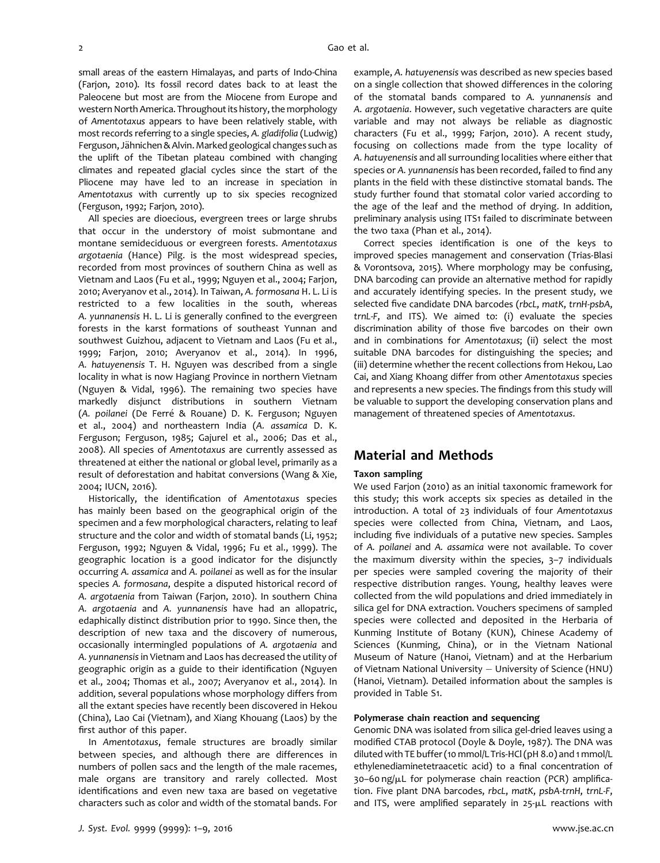small areas of the eastern Himalayas, and parts of Indo-China (Farjon, 2010). Its fossil record dates back to at least the Paleocene but most are from the Miocene from Europe and western North America. Throughout its history, the morphology of Amentotaxus appears to have been relatively stable, with most records referring to a single species, A. gladifolia (Ludwig) Ferguson, Jähnichen & Alvin. Marked geological changes such as the uplift of the Tibetan plateau combined with changing climates and repeated glacial cycles since the start of the Pliocene may have led to an increase in speciation in Amentotaxus with currently up to six species recognized (Ferguson, 1992; Farjon, 2010).

All species are dioecious, evergreen trees or large shrubs that occur in the understory of moist submontane and montane semideciduous or evergreen forests. Amentotaxus argotaenia (Hance) Pilg. is the most widespread species, recorded from most provinces of southern China as well as Vietnam and Laos (Fu et al., 1999; Nguyen et al., 2004; Farjon, 2010; Averyanov et al., 2014). In Taiwan, A. formosana H. L. Li is restricted to a few localities in the south, whereas A. yunnanensis H. L. Li is generally confined to the evergreen forests in the karst formations of southeast Yunnan and southwest Guizhou, adjacent to Vietnam and Laos (Fu et al., 1999; Farjon, 2010; Averyanov et al., 2014). In 1996, A. hatuyenensis T. H. Nguyen was described from a single locality in what is now Hagiang Province in northern Vietnam (Nguyen & Vidal, 1996). The remaining two species have markedly disjunct distributions in southern Vietnam (A. poilanei (De Ferré & Rouane) D. K. Ferguson; Nguyen et al., 2004) and northeastern India (A. assamica D. K. Ferguson; Ferguson, 1985; Gajurel et al., 2006; Das et al., 2008). All species of Amentotaxus are currently assessed as threatened at either the national or global level, primarily as a result of deforestation and habitat conversions (Wang & Xie, 2004; IUCN, 2016).

Historically, the identification of Amentotaxus species has mainly been based on the geographical origin of the specimen and a few morphological characters, relating to leaf structure and the color and width of stomatal bands (Li, 1952; Ferguson, 1992; Nguyen & Vidal, 1996; Fu et al., 1999). The geographic location is a good indicator for the disjunctly occurring A. assamica and A. poilanei as well as for the insular species A. formosana, despite a disputed historical record of A. argotaenia from Taiwan (Farjon, 2010). In southern China A. argotaenia and A. yunnanensis have had an allopatric, edaphically distinct distribution prior to 1990. Since then, the description of new taxa and the discovery of numerous, occasionally intermingled populations of A. argotaenia and A. yunnanensis in Vietnam and Laos has decreased the utility of geographic origin as a guide to their identification (Nguyen et al., 2004; Thomas et al., 2007; Averyanov et al., 2014). In addition, several populations whose morphology differs from all the extant species have recently been discovered in Hekou (China), Lao Cai (Vietnam), and Xiang Khouang (Laos) by the first author of this paper.

In Amentotaxus, female structures are broadly similar between species, and although there are differences in numbers of pollen sacs and the length of the male racemes, male organs are transitory and rarely collected. Most identifications and even new taxa are based on vegetative characters such as color and width of the stomatal bands. For

example, A. hatuyenensis was described as new species based on a single collection that showed differences in the coloring of the stomatal bands compared to A. yunnanensis and A. argotaenia. However, such vegetative characters are quite variable and may not always be reliable as diagnostic characters (Fu et al., 1999; Farjon, 2010). A recent study, focusing on collections made from the type locality of A. hatuyenensis and all surrounding localities where either that species or A. yunnanensis has been recorded, failed to find any plants in the field with these distinctive stomatal bands. The study further found that stomatal color varied according to the age of the leaf and the method of drying. In addition, preliminary analysis using ITS1 failed to discriminate between the two taxa (Phan et al., 2014).

Correct species identification is one of the keys to improved species management and conservation (Trias-Blasi & Vorontsova, 2015). Where morphology may be confusing, DNA barcoding can provide an alternative method for rapidly and accurately identifying species. In the present study, we selected five candidate DNA barcodes (rbcL, matK, trnH-psbA, trnL-F, and ITS). We aimed to: (i) evaluate the species discrimination ability of those five barcodes on their own and in combinations for Amentotaxus; (ii) select the most suitable DNA barcodes for distinguishing the species; and (iii) determine whether the recent collections from Hekou, Lao Cai, and Xiang Khoang differ from other Amentotaxus species and represents a new species. The findings from this study will be valuable to support the developing conservation plans and management of threatened species of Amentotaxus.

## Material and Methods

### Taxon sampling

We used Farjon (2010) as an initial taxonomic framework for this study; this work accepts six species as detailed in the introduction. A total of 23 individuals of four Amentotaxus species were collected from China, Vietnam, and Laos, including five individuals of a putative new species. Samples of A. poilanei and A. assamica were not available. To cover the maximum diversity within the species, 3–7 individuals per species were sampled covering the majority of their respective distribution ranges. Young, healthy leaves were collected from the wild populations and dried immediately in silica gel for DNA extraction. Vouchers specimens of sampled species were collected and deposited in the Herbaria of Kunming Institute of Botany (KUN), Chinese Academy of Sciences (Kunming, China), or in the Vietnam National Museum of Nature (Hanoi, Vietnam) and at the Herbarium of Vietnam National University - University of Science (HNU) (Hanoi, Vietnam). Detailed information about the samples is provided in Table S1.

#### Polymerase chain reaction and sequencing

Genomic DNA was isolated from silica gel-dried leaves using a modified CTAB protocol (Doyle & Doyle, 1987). The DNA was diluted with TE buffer (10 mmol/L Tris-HCl (pH 8.0) and 1 mmol/L ethylenediaminetetraacetic acid) to a final concentration of  $30-60$  ng/ $\mu$ L for polymerase chain reaction (PCR) amplification. Five plant DNA barcodes, rbcL, matK, psbA-trnH, trnL-F, and ITS, were amplified separately in  $25-\mu L$  reactions with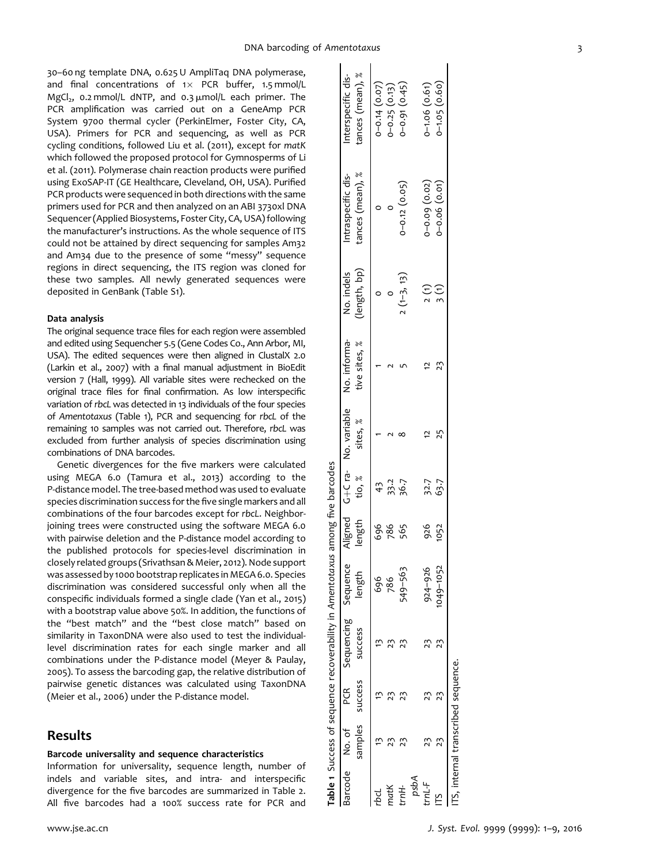30–60 ng template DNA, 0.625 U AmpliTaq DNA polymerase, and final concentrations of  $1 \times$  PCR buffer, 1.5 mmol/L MgCl<sub>2</sub>, 0.2 mmol/L dNTP, and 0.3  $\mu$ mol/L each primer. The PCR amplification was carried out on a GeneAmp PCR System 9700 thermal cycler (PerkinElmer, Foster City, CA, USA). Primers for PCR and sequencing, as well as PCR cycling conditions, followed Liu et al. (2011), except for matK which followed the proposed protocol for Gymnosperms of Li et al. (2011). Polymerase chain reaction products were purified using ExoSAP-IT (GE Healthcare, Cleveland, OH, USA). Purified PCR products were sequenced in both directions with the same primers used for PCR and then analyzed on an ABI 3730xl DNA Sequencer (Applied Biosystems, Foster City, CA, USA) following the manufacturer's instructions. As the whole sequence of ITS could not be attained by direct sequencing for samples Am32 and Am34 due to the presence of some "messy" sequence regions in direct sequencing, the ITS region was cloned for these two samples. All newly generated sequences were deposited in GenBank (Table S1).

#### Data analysis

The original sequence trace files for each region were assembled and edited using Sequencher 5.5 (Gene Codes Co., Ann Arbor, MI, USA). The edited sequences were then aligned in ClustalX 2.0 (Larkin et al., 2007) with a final manual adjustment in BioEdit version 7 (Hall, 1999). All variable sites were rechecked on the original trace files for final confirmation. As low interspecific variation of rbcL was detected in 13 individuals of the four species of Amentotaxus (Table 1), PCR and sequencing for rbcL of the remaining 10 samples was not carried out. Therefore, rbcL was excluded from further analysis of species discrimination using combinations of DNA barcodes.

Genetic divergences for the five markers were calculated using MEGA 6.0 (Tamura et al., 2013) according to the P-distance model. The tree-based method was used to evaluate species discrimination success for the five single markers and all combinations of the four barcodes except for rbcL. Neighborjoining trees were constructed using the software MEGA 6.0 with pairwise deletion and the P-distance model according to the published protocols for species-level discrimination in closely related groups (Srivathsan & Meier, 2012). Node support was assessed by 1000 bootstrap replicates in MEGA 6.0. Species discrimination was considered successful only when all the conspecific individuals formed a single clade (Yan et al., 2015) with a bootstrap value above 50%. In addition, the functions of the "best match" and the "best close match" based on similarity in TaxonDNA were also used to test the individuallevel discrimination rates for each single marker and all combinations under the P-distance model (Meyer & Paulay, 2005). To assess the barcoding gap, the relative distribution of pairwise genetic distances was calculated using TaxonDNA (Meier et al., 2006) under the P-distance model.

## Results

## Barcode universality and sequence characteristics

Information for universality, sequence length, number of indels and variable sites, and intra- and interspecific divergence for the five barcodes are summarized in Table 2. All five barcodes had a 100% success rate for PCR and

|      |                                   |                             | Table 1 Success of sequence recoverability in Amentotaxus among five barcodes |          |      |               |                                      |                               |                            |                                        |                                        |
|------|-----------------------------------|-----------------------------|-------------------------------------------------------------------------------|----------|------|---------------|--------------------------------------|-------------------------------|----------------------------|----------------------------------------|----------------------------------------|
|      | Barcode No. of                    | samples success<br>PCR<br>C | Sequencing Sequence<br>success                                                | length   |      | length tio, % | Aligned Ta- No. variable<br>sites, % | No. informa-<br>tive sites, % | (length, bp)<br>No. indels | tances (mean), %<br>Intraspecific dis- | tances (mean), %<br>Interspecific dis- |
|      |                                   |                             |                                                                               | 696      | 696  | 43            |                                      |                               |                            |                                        |                                        |
|      |                                   |                             |                                                                               | 786      | 786  | 33.2          |                                      |                               |                            |                                        | $0-0.14$ $(0.07)$<br>$0-0.25$ $(0.13)$ |
|      |                                   |                             |                                                                               | 549-563  | 565  | 36.7          |                                      |                               | $7(1-3, 13)$               | $0 - 0.12 (0.05)$                      | $0 - 0.91(0.45)$                       |
| Adsa |                                   |                             |                                                                               |          |      |               |                                      |                               |                            |                                        |                                        |
|      |                                   |                             |                                                                               | 924-926  | 926  | 32.7          |                                      |                               | 2(1)                       |                                        | $0 - 1.06$ $(0.61)$                    |
|      | 23                                |                             |                                                                               | 049-1052 | 1052 | 63.7          | 25                                   | $\frac{2}{3}$                 | $\frac{3}{1}$              | $0-0.09$ $(0.02)$<br>$0-0.06$ $(0.01)$ | $0 - 1.05(0.60)$                       |
|      | S, internal transcribed sequence. |                             |                                                                               |          |      |               |                                      |                               |                            |                                        |                                        |

Table 1 Success of sequence recoverability in Amentotaxus among five barcodes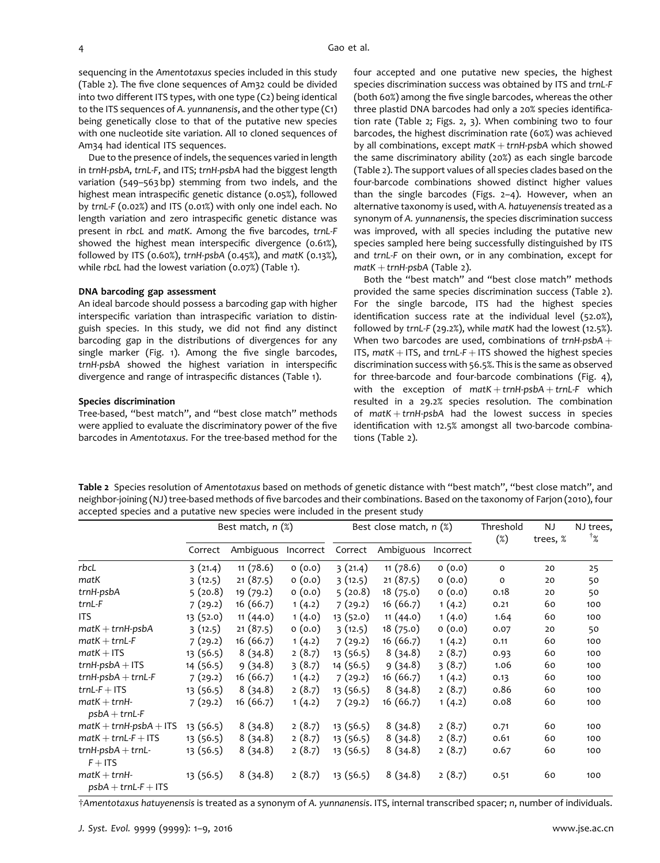sequencing in the Amentotaxus species included in this study (Table 2). The five clone sequences of Am32 could be divided into two different ITS types, with one type (C2) being identical to the ITS sequences of A. yunnanensis, and the other type (C1) being genetically close to that of the putative new species with one nucleotide site variation. All 10 cloned sequences of Am34 had identical ITS sequences.

Due to the presence of indels, the sequences varied in length in trnH-psbA, trnL-F, and ITS; trnH-psbA had the biggest length variation (549–563 bp) stemming from two indels, and the highest mean intraspecific genetic distance (0.05%), followed by trnL-F (0.02%) and ITS (0.01%) with only one indel each. No length variation and zero intraspecific genetic distance was present in rbcL and matK. Among the five barcodes, trnL-F showed the highest mean interspecific divergence (0.61%), followed by ITS (0.60%), trnH-psbA (0.45%), and matK (0.13%), while rbcL had the lowest variation (0.07%) (Table 1).

#### DNA barcoding gap assessment

An ideal barcode should possess a barcoding gap with higher interspecific variation than intraspecific variation to distinguish species. In this study, we did not find any distinct barcoding gap in the distributions of divergences for any single marker (Fig. 1). Among the five single barcodes, trnH-psbA showed the highest variation in interspecific divergence and range of intraspecific distances (Table 1).

#### Species discrimination

Tree-based, "best match", and "best close match" methods were applied to evaluate the discriminatory power of the five barcodes in Amentotaxus. For the tree-based method for the four accepted and one putative new species, the highest species discrimination success was obtained by ITS and trnL-F (both 60%) among the five single barcodes, whereas the other three plastid DNA barcodes had only a 20% species identification rate (Table 2; Figs. 2, 3). When combining two to four barcodes, the highest discrimination rate (60%) was achieved by all combinations, except  $text$   $H + trnH-psba$  which showed the same discriminatory ability (20%) as each single barcode (Table 2). The support values of all species clades based on the four-barcode combinations showed distinct higher values than the single barcodes (Figs. 2–4). However, when an alternative taxonomy is used, with A. hatuyenensis treated as a synonym of A. yunnanensis, the species discrimination success was improved, with all species including the putative new species sampled here being successfully distinguished by ITS and trnL-F on their own, or in any combination, except for  $m$ atK + trnH-psbA (Table 2).

Both the "best match" and "best close match" methods provided the same species discrimination success (Table 2). For the single barcode, ITS had the highest species identification success rate at the individual level (52.0%), followed by trnL-F (29.2%), while matK had the lowest (12.5%). When two barcodes are used, combinations of  $trnH-psbA +$ ITS,  $matK + ITS$ , and  $trnL-F + ITS$  showed the highest species discrimination success with 56.5%. This is the same as observed for three-barcode and four-barcode combinations (Fig. 4), with the exception of  $text + trnH-psbA + trnL-F$  which resulted in a 29.2% species resolution. The combination of  $text + trnH-psbA$  had the lowest success in species identification with 12.5% amongst all two-barcode combinations (Table 2).

Table 2 Species resolution of Amentotaxus based on methods of genetic distance with "best match", "best close match", and neighbor-joining (NJ) tree-based methods of five barcodes and their combinations. Based on the taxonomy of Farjon (2010), four accepted species and a putative new species were included in the present study

|                                                            | Best match, $n$ $(\%)$ |           |           | Best close match, $n$ $(\%)$ |           |           | Threshold<br>$(\%)$ | NJ<br>trees, % | NJ trees,<br>$4\%$ |
|------------------------------------------------------------|------------------------|-----------|-----------|------------------------------|-----------|-----------|---------------------|----------------|--------------------|
|                                                            | Correct                | Ambiguous | Incorrect | Correct                      | Ambiguous | Incorrect |                     |                |                    |
| rbcL                                                       | 3(21.4)                | 11(78.6)  | 0(0.0)    | 3(21.4)                      | 11(78.6)  | 0(0.0)    | O                   | 20             | 25                 |
| matK                                                       | 3(12.5)                | 21(87.5)  | 0(0.0)    | 3(12.5)                      | 21(87.5)  | 0(0.0)    | $\circ$             | 20             | 50                 |
| trnH-psbA                                                  | 5(20.8)                | 19(79.2)  | 0(0.0)    | 5(20.8)                      | 18(75.0)  | 0(0.0)    | 0.18                | 20             | 50                 |
| trnL-F                                                     | 7(29.2)                | 16(66.7)  | 1(4.2)    | 7(29.2)                      | 16(66.7)  | 1(4.2)    | 0.21                | 60             | 100                |
| <b>ITS</b>                                                 | 13(52.0)               | 11(44.0)  | 1(4.0)    | 13 (52.0)                    | 11(44.0)  | 1(4.0)    | 1.64                | 60             | 100                |
| $\text{matK} + \text{trnH-psbA}$                           | 3(12.5)                | 21(87.5)  | 0(0.0)    | 3(12.5)                      | 18(75.0)  | 0(0.0)    | 0.07                | 20             | 50                 |
| $\text{matK} + \text{trnL-F}$                              | 7(29.2)                | 16(66.7)  | 1(4.2)    | 7(29.2)                      | 16(66.7)  | 1(4.2)    | 0.11                | 60             | 100                |
| $matK + ITS$                                               | 13 (56.5)              | 8(34.8)   | 2(8.7)    | 13 (56.5)                    | 8(34.8)   | 2(8.7)    | 0.93                | 60             | 100                |
| $trnH-psbA + ITS$                                          | 14 (56.5)              | 9(34.8)   | 3(8.7)    | 14 (56.5)                    | 9(34.8)   | 3(8.7)    | 1.06                | 60             | 100                |
| $trnH-psbA + trnL-F$                                       | 7(29.2)                | 16(66.7)  | 1(4.2)    | 7(29.2)                      | 16 (66.7) | 1(4.2)    | 0.13                | 60             | 100                |
| $trnL-F$ + ITS                                             | 13 (56.5)              | 8(34.8)   | 2(8.7)    | 13 (56.5)                    | 8(34.8)   | 2(8.7)    | 0.86                | 60             | 100                |
| $\mathsf{matK} + \mathsf{trnH}$ -<br>$psbA + trnL-F$       | 7(29.2)                | 16(66.7)  | 1(4.2)    | 7(29.2)                      | 16(66.7)  | 1(4.2)    | 0.08                | 60             | 100                |
| $\text{matK} + \text{trnH-psbA} + \text{ITS}$              | 13(56.5)               | 8(34.8)   | 2(8.7)    | 13(56.5)                     | 8(34.8)   | 2(8.7)    | 0.71                | 60             | 100                |
| $\text{matK} + \text{trnL-F} + \text{ITS}$                 | 13(56.5)               | 8(34.8)   | 2(8.7)    | 13 (56.5)                    | 8(34.8)   | 2(8.7)    | 0.61                | 60             | 100                |
| $trnH-psbA + trnL-$<br>$F + ITS$                           | 13 (56.5)              | 8(34.8)   | 2(8.7)    | 13 (56.5)                    | 8(34.8)   | 2(8.7)    | 0.67                | 60             | 100                |
| $\mathsf{matK} + \mathsf{trnH}$ -<br>$psbA + trnL-F + ITS$ | 13(56.5)               | 8(34.8)   | 2(8.7)    | 13(56.5)                     | 8(34.8)   | 2(8.7)    | 0.51                | 60             | 100                |

†Amentotaxus hatuyenensis is treated as a synonym of A. yunnanensis. ITS, internal transcribed spacer; n, number of individuals.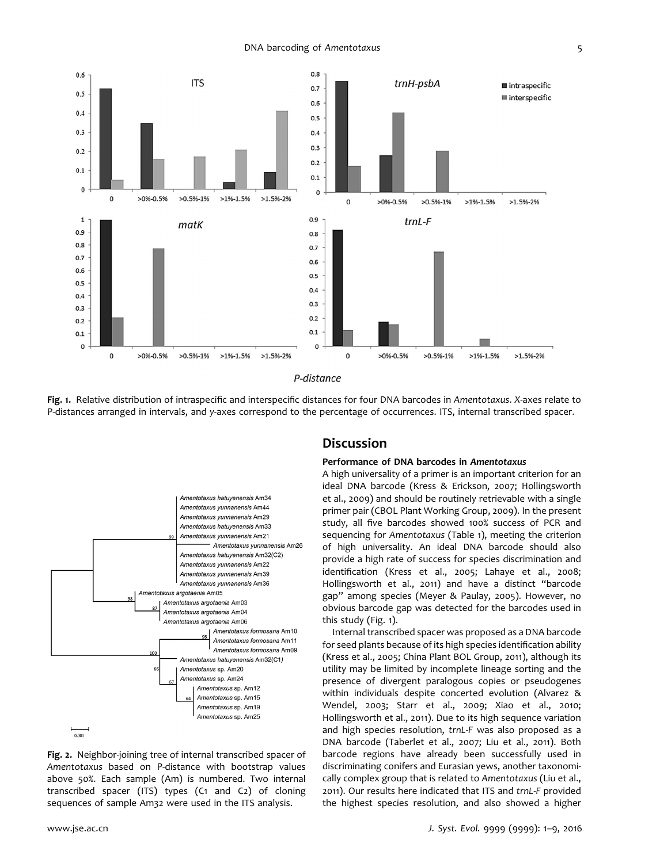DNA barcoding of Amentotaxus 5



Fig. 1. Relative distribution of intraspecific and interspecific distances for four DNA barcodes in Amentotaxus. X-axes relate to P-distances arranged in intervals, and y-axes correspond to the percentage of occurrences. ITS, internal transcribed spacer.



Fig. 2. Neighbor-joining tree of internal transcribed spacer of Amentotaxus based on P-distance with bootstrap values above 50%. Each sample (Am) is numbered. Two internal transcribed spacer (ITS) types (C1 and C2) of cloning sequences of sample Am32 were used in the ITS analysis.

## **Discussion**

#### Performance of DNA barcodes in Amentotaxus

A high universality of a primer is an important criterion for an ideal DNA barcode (Kress & Erickson, 2007; Hollingsworth et al., 2009) and should be routinely retrievable with a single primer pair (CBOL Plant Working Group, 2009). In the present study, all five barcodes showed 100% success of PCR and sequencing for Amentotaxus (Table 1), meeting the criterion of high universality. An ideal DNA barcode should also provide a high rate of success for species discrimination and identification (Kress et al., 2005; Lahaye et al., 2008; Hollingsworth et al., 2011) and have a distinct "barcode gap" among species (Meyer & Paulay, 2005). However, no obvious barcode gap was detected for the barcodes used in this study (Fig. 1).

Internal transcribed spacer was proposed as a DNA barcode for seed plants because of its high species identification ability (Kress et al., 2005; China Plant BOL Group, 2011), although its utility may be limited by incomplete lineage sorting and the presence of divergent paralogous copies or pseudogenes within individuals despite concerted evolution (Alvarez & Wendel, 2003; Starr et al., 2009; Xiao et al., 2010; Hollingsworth et al., 2011). Due to its high sequence variation and high species resolution, trnL-F was also proposed as a DNA barcode (Taberlet et al., 2007; Liu et al., 2011). Both barcode regions have already been successfully used in discriminating conifers and Eurasian yews, another taxonomically complex group that is related to Amentotaxus (Liu et al., 2011). Our results here indicated that ITS and trnL-F provided the highest species resolution, and also showed a higher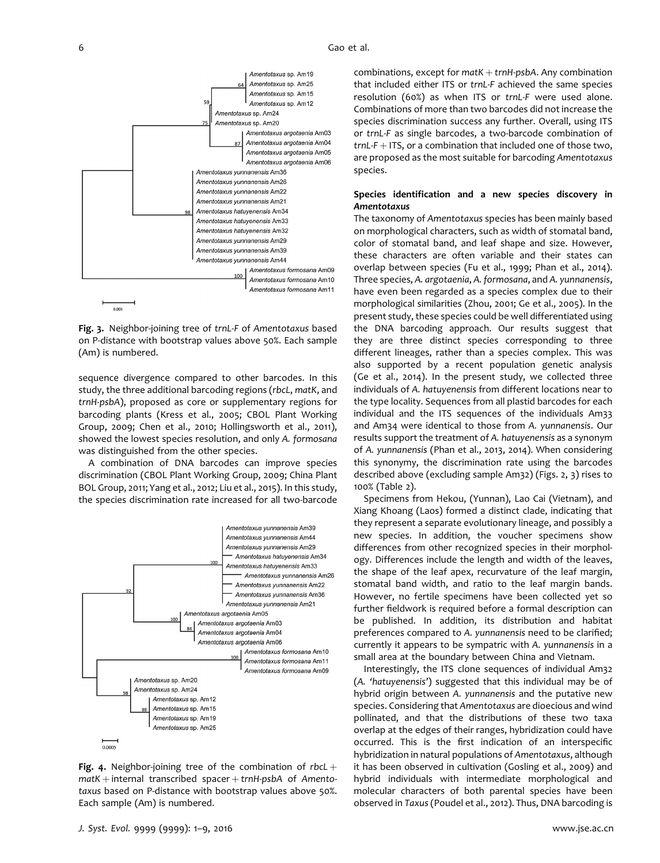

Fig. 3. Neighbor-joining tree of trnL-F of Amentotaxus based on P-distance with bootstrap values above 50%. Each sample (Am) is numbered.

sequence divergence compared to other barcodes. In this study, the three additional barcoding regions (rbcL, matK, and trnH-psbA), proposed as core or supplementary regions for barcoding plants (Kress et al., 2005; CBOL Plant Working Group, 2009; Chen et al., 2010; Hollingsworth et al., 2011), showed the lowest species resolution, and only A. formosana was distinguished from the other species.

A combination of DNA barcodes can improve species discrimination (CBOL Plant Working Group, 2009; China Plant BOL Group, 2011; Yang et al., 2012; Liu et al., 2015). In this study, the species discrimination rate increased for all two-barcode



Fig. 4. Neighbor-joining tree of the combination of rbcL  $+$  $m$ atK + internal transcribed spacer + trnH-psbA of Amentotaxus based on P-distance with bootstrap values above 50%. Each sample (Am) is numbered.

combinations, except for  $text + trnH\text{-}psbA$ . Any combination that included either ITS or trnL-F achieved the same species resolution (60%) as when ITS or trnL-F were used alone. Combinations of more than two barcodes did not increase the species discrimination success any further. Overall, using ITS or trnL-F as single barcodes, a two-barcode combination of  $trnL-F + ITS$ , or a combination that included one of those two, are proposed as the most suitable for barcoding Amentotaxus species.

## Species identification and a new species discovery in Amentotaxus

The taxonomy of Amentotaxus species has been mainly based on morphological characters, such as width of stomatal band, color of stomatal band, and leaf shape and size. However, these characters are often variable and their states can overlap between species (Fu et al., 1999; Phan et al., 2014). Three species, A. argotaenia, A. formosana, and A. yunnanensis, have even been regarded as a species complex due to their morphological similarities (Zhou, 2001; Ge et al., 2005). In the present study, these species could be well differentiated using the DNA barcoding approach. Our results suggest that they are three distinct species corresponding to three different lineages, rather than a species complex. This was also supported by a recent population genetic analysis (Ge et al., 2014). In the present study, we collected three individuals of A. hatuyenensis from different locations near to the type locality. Sequences from all plastid barcodes for each individual and the ITS sequences of the individuals Am33 and Am34 were identical to those from A. yunnanensis. Our results support the treatment of A. hatuyenensis as a synonym of A. yunnanensis (Phan et al., 2013, 2014). When considering this synonymy, the discrimination rate using the barcodes described above (excluding sample Am32) (Figs. 2, 3) rises to 100% (Table 2).

Specimens from Hekou, (Yunnan), Lao Cai (Vietnam), and Xiang Khoang (Laos) formed a distinct clade, indicating that they represent a separate evolutionary lineage, and possibly a new species. In addition, the voucher specimens show differences from other recognized species in their morphology. Differences include the length and width of the leaves, the shape of the leaf apex, recurvature of the leaf margin, stomatal band width, and ratio to the leaf margin bands. However, no fertile specimens have been collected yet so further fieldwork is required before a formal description can be published. In addition, its distribution and habitat preferences compared to A. yunnanensis need to be clarified; currently it appears to be sympatric with A. yunnanensis in a small area at the boundary between China and Vietnam.

Interestingly, the ITS clone sequences of individual Am32 (A. 'hatuyenensis') suggested that this individual may be of hybrid origin between A. yunnanensis and the putative new species. Considering that Amentotaxus are dioecious and wind pollinated, and that the distributions of these two taxa overlap at the edges of their ranges, hybridization could have occurred. This is the first indication of an interspecific hybridization in natural populations of Amentotaxus, although it has been observed in cultivation (Gosling et al., 2009) and hybrid individuals with intermediate morphological and molecular characters of both parental species have been observed in Taxus (Poudel et al., 2012). Thus, DNA barcoding is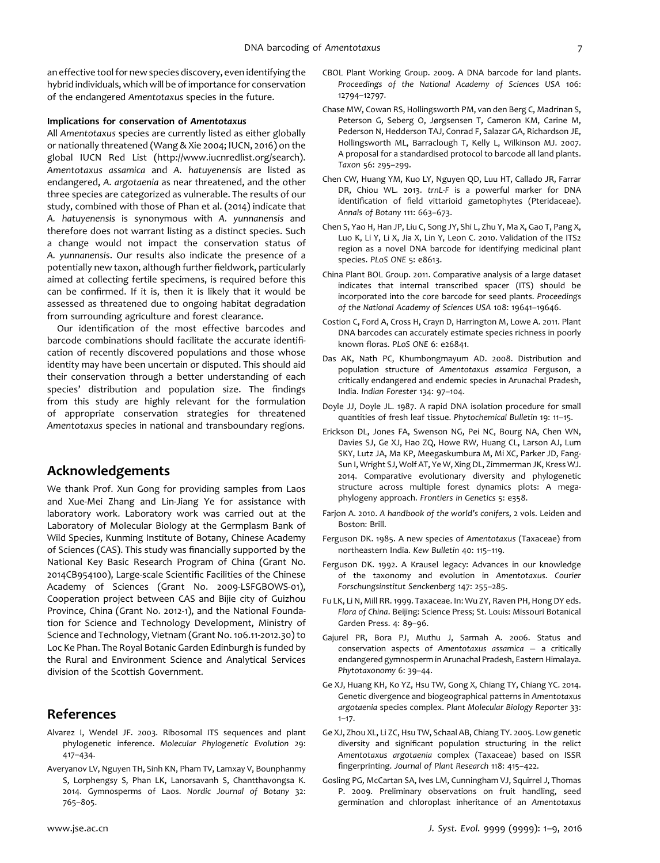an effective tool for new species discovery, even identifying the hybrid individuals, which will be of importance for conservation of the endangered Amentotaxus species in the future.

#### Implications for conservation of Amentotaxus

All Amentotaxus species are currently listed as either globally or nationally threatened (Wang & Xie 2004; IUCN, 2016) on the global IUCN Red List (<http://www.iucnredlist.org/search>). Amentotaxus assamica and A. hatuyenensis are listed as endangered, A. argotaenia as near threatened, and the other three species are categorized as vulnerable. The results of our study, combined with those of Phan et al. (2014) indicate that A. hatuyenensis is synonymous with A. yunnanensis and therefore does not warrant listing as a distinct species. Such a change would not impact the conservation status of A. yunnanensis. Our results also indicate the presence of a potentially new taxon, although further fieldwork, particularly aimed at collecting fertile specimens, is required before this can be confirmed. If it is, then it is likely that it would be assessed as threatened due to ongoing habitat degradation from surrounding agriculture and forest clearance.

Our identification of the most effective barcodes and barcode combinations should facilitate the accurate identification of recently discovered populations and those whose identity may have been uncertain or disputed. This should aid their conservation through a better understanding of each species' distribution and population size. The findings from this study are highly relevant for the formulation of appropriate conservation strategies for threatened Amentotaxus species in national and transboundary regions.

# Acknowledgements

We thank Prof. Xun Gong for providing samples from Laos and Xue-Mei Zhang and Lin-Jiang Ye for assistance with laboratory work. Laboratory work was carried out at the Laboratory of Molecular Biology at the Germplasm Bank of Wild Species, Kunming Institute of Botany, Chinese Academy of Sciences (CAS). This study was financially supported by the National Key Basic Research Program of China (Grant No. 2014CB954100), Large-scale Scientific Facilities of the Chinese Academy of Sciences (Grant No. 2009-LSFGBOWS-01), Cooperation project between CAS and Bijie city of Guizhou Province, China (Grant No. 2012-1), and the National Foundation for Science and Technology Development, Ministry of Science and Technology, Vietnam (Grant No. 106.11-2012.30) to Loc Ke Phan. The Royal Botanic Garden Edinburgh is funded by the Rural and Environment Science and Analytical Services division of the Scottish Government.

## References

- Alvarez I, Wendel JF. 2003. Ribosomal ITS sequences and plant phylogenetic inference. Molecular Phylogenetic Evolution 29: 417–434.
- Averyanov LV, Nguyen TH, Sinh KN, Pham TV, Lamxay V, Bounphanmy S, Lorphengsy S, Phan LK, Lanorsavanh S, Chantthavongsa K. 2014. Gymnosperms of Laos. Nordic Journal of Botany 32: 765–805.
- CBOL Plant Working Group. 2009. A DNA barcode for land plants. Proceedings of the National Academy of Sciences USA 106: 12794–12797.
- Chase MW, Cowan RS, Hollingsworth PM, van den Berg C, Madrinan S, Peterson G, Seberg O, Jørgsensen T, Cameron KM, Carine M, Pederson N, Hedderson TAJ, Conrad F, Salazar GA, Richardson JE, Hollingsworth ML, Barraclough T, Kelly L, Wilkinson MJ. 2007. A proposal for a standardised protocol to barcode all land plants. Taxon 56: 295–299.
- Chen CW, Huang YM, Kuo LY, Nguyen QD, Luu HT, Callado JR, Farrar DR, Chiou WL. 2013. trnL-F is a powerful marker for DNA identification of field vittarioid gametophytes (Pteridaceae). Annals of Botany 111: 663–673.
- Chen S, Yao H, Han JP, Liu C, Song JY, Shi L, Zhu Y, Ma X, Gao T, Pang X, Luo K, Li Y, Li X, Jia X, Lin Y, Leon C. 2010. Validation of the ITS2 region as a novel DNA barcode for identifying medicinal plant species. PLoS ONE 5: e8613.
- China Plant BOL Group. 2011. Comparative analysis of a large dataset indicates that internal transcribed spacer (ITS) should be incorporated into the core barcode for seed plants. Proceedings of the National Academy of Sciences USA 108: 19641–19646.
- Costion C, Ford A, Cross H, Crayn D, Harrington M, Lowe A. 2011. Plant DNA barcodes can accurately estimate species richness in poorly known floras. PLoS ONE 6: e26841.
- Das AK, Nath PC, Khumbongmayum AD. 2008. Distribution and population structure of Amentotaxus assamica Ferguson, a critically endangered and endemic species in Arunachal Pradesh, India. Indian Forester 134: 97–104.
- Doyle JJ, Doyle JL. 1987. A rapid DNA isolation procedure for small quantities of fresh leaf tissue. Phytochemical Bulletin 19: 11–15.
- Erickson DL, Jones FA, Swenson NG, Pei NC, Bourg NA, Chen WN, Davies SJ, Ge XJ, Hao ZQ, Howe RW, Huang CL, Larson AJ, Lum SKY, Lutz JA, Ma KP, Meegaskumbura M, Mi XC, Parker JD, Fang-Sun I, Wright SJ, Wolf AT, Ye W, Xing DL, Zimmerman JK, Kress WJ. 2014. Comparative evolutionary diversity and phylogenetic structure across multiple forest dynamics plots: A megaphylogeny approach. Frontiers in Genetics 5: e358.
- Farjon A. 2010. A handbook of the world's conifers, 2 vols. Leiden and Boston: Brill.
- Ferguson DK. 1985. A new species of Amentotaxus (Taxaceae) from northeastern India. Kew Bulletin 40: 115–119.
- Ferguson DK. 1992. A Krausel legacy: Advances in our knowledge of the taxonomy and evolution in Amentotaxus. Courier Forschungsinstitut Senckenberg 147: 255–285.
- Fu LK, Li N, Mill RR. 1999. Taxaceae. In: Wu ZY, Raven PH, Hong DY eds. Flora of China. Beijing: Science Press; St. Louis: Missouri Botanical Garden Press. 4: 89–96.
- Gajurel PR, Bora PJ, Muthu J, Sarmah A. 2006. Status and conservation aspects of Amentotaxus assamica  $-$  a critically endangered gymnosperm in Arunachal Pradesh, Eastern Himalaya. Phytotaxonomy 6: 39–44.
- Ge XJ, Huang KH, Ko YZ, Hsu TW, Gong X, Chiang TY, Chiang YC. 2014. Genetic divergence and biogeographical patterns in Amentotaxus argotaenia species complex. Plant Molecular Biology Reporter 33:  $1 - 17.$
- Ge XJ, Zhou XL, Li ZC, Hsu TW, Schaal AB, Chiang TY. 2005. Low genetic diversity and significant population structuring in the relict Amentotaxus argotaenia complex (Taxaceae) based on ISSR fingerprinting. Journal of Plant Research 118: 415–422.
- Gosling PG, McCartan SA, Ives LM, Cunningham VJ, Squirrel J, Thomas P. 2009. Preliminary observations on fruit handling, seed germination and chloroplast inheritance of an Amentotaxus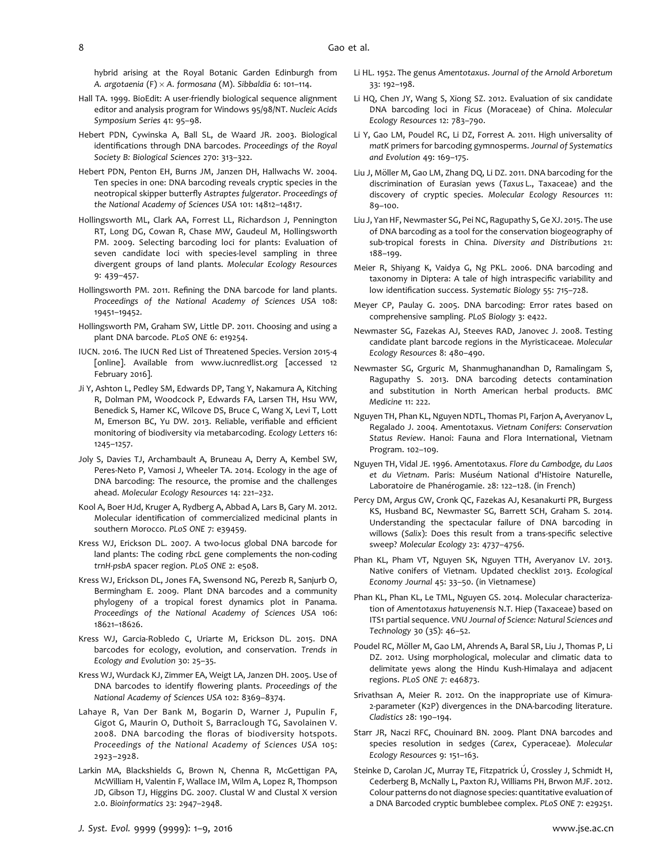hybrid arising at the Royal Botanic Garden Edinburgh from A. argotaenia (F)  $\times$  A. formosana (M). Sibbaldia 6: 101-114.

- Hall TA. 1999. BioEdit: A user-friendly biological sequence alignment editor and analysis program for Windows 95/98/NT. Nucleic Acids Symposium Series 41: 95–98.
- Hebert PDN, Cywinska A, Ball SL, de Waard JR. 2003. Biological identifications through DNA barcodes. Proceedings of the Royal Society B: Biological Sciences 270: 313–322.
- Hebert PDN, Penton EH, Burns JM, Janzen DH, Hallwachs W. 2004. Ten species in one: DNA barcoding reveals cryptic species in the neotropical skipper butterfly Astraptes fulgerator. Proceedings of the National Academy of Sciences USA 101: 14812–14817.
- Hollingsworth ML, Clark AA, Forrest LL, Richardson J, Pennington RT, Long DG, Cowan R, Chase MW, Gaudeul M, Hollingsworth PM. 2009. Selecting barcoding loci for plants: Evaluation of seven candidate loci with species-level sampling in three divergent groups of land plants. Molecular Ecology Resources 9: 439–457.
- Hollingsworth PM. 2011. Refining the DNA barcode for land plants. Proceedings of the National Academy of Sciences USA 108: 19451–19452.
- Hollingsworth PM, Graham SW, Little DP. 2011. Choosing and using a plant DNA barcode. PLoS ONE 6: e19254.
- IUCN. 2016. The IUCN Red List of Threatened Species. Version 2015-4 [online]. Available from<www.iucnredlist.org> [accessed 12 February 2016].
- Ji Y, Ashton L, Pedley SM, Edwards DP, Tang Y, Nakamura A, Kitching R, Dolman PM, Woodcock P, Edwards FA, Larsen TH, Hsu WW, Benedick S, Hamer KC, Wilcove DS, Bruce C, Wang X, Levi T, Lott M, Emerson BC, Yu DW. 2013. Reliable, verifiable and efficient monitoring of biodiversity via metabarcoding. Ecology Letters 16: 1245–1257.
- Joly S, Davies TJ, Archambault A, Bruneau A, Derry A, Kembel SW, Peres-Neto P, Vamosi J, Wheeler TA. 2014. Ecology in the age of DNA barcoding: The resource, the promise and the challenges ahead. Molecular Ecology Resources 14: 221–232.
- Kool A, Boer HJd, Kruger A, Rydberg A, Abbad A, Lars B, Gary M. 2012. Molecular identification of commercialized medicinal plants in southern Morocco. PLoS ONE 7: e39459.
- Kress WJ, Erickson DL. 2007. A two-locus global DNA barcode for land plants: The coding rbcL gene complements the non-coding trnH-psbA spacer region. PLoS ONE 2: e508.
- Kress WJ, Erickson DL, Jones FA, Swensond NG, Perezb R, Sanjurb O, Bermingham E. 2009. Plant DNA barcodes and a community phylogeny of a tropical forest dynamics plot in Panama. Proceedings of the National Academy of Sciences USA 106: 18621–18626.
- Kress WJ, Garcia-Robledo C, Uriarte M, Erickson DL. 2015. DNA barcodes for ecology, evolution, and conservation. Trends in Ecology and Evolution 30: 25–35.
- Kress WJ, Wurdack KJ, Zimmer EA, Weigt LA, Janzen DH. 2005. Use of DNA barcodes to identify flowering plants. Proceedings of the National Academy of Sciences USA 102: 8369–8374.
- Lahaye R, Van Der Bank M, Bogarin D, Warner J, Pupulin F, Gigot G, Maurin O, Duthoit S, Barraclough TG, Savolainen V. 2008. DNA barcoding the floras of biodiversity hotspots. Proceedings of the National Academy of Sciences USA 105: 2923–2928.
- Larkin MA, Blackshields G, Brown N, Chenna R, McGettigan PA, McWilliam H, Valentin F, Wallace IM, Wilm A, Lopez R, Thompson JD, Gibson TJ, Higgins DG. 2007. Clustal W and Clustal X version 2.0. Bioinformatics 23: 2947–2948.
- Li HL. 1952. The genus Amentotaxus. Journal of the Arnold Arboretum 33: 192–198.
- Li HQ, Chen JY, Wang S, Xiong SZ. 2012. Evaluation of six candidate DNA barcoding loci in Ficus (Moraceae) of China. Molecular Ecology Resources 12: 783–790.
- Li Y, Gao LM, Poudel RC, Li DZ, Forrest A. 2011. High universality of matK primers for barcoding gymnosperms. Journal of Systematics and Evolution 49: 169–175.
- Liu J, Möller M, Gao LM, Zhang DQ, Li DZ. 2011. DNA barcoding for the discrimination of Eurasian yews (Taxus L., Taxaceae) and the discovery of cryptic species. Molecular Ecology Resources 11: 89–100.
- Liu J, Yan HF, Newmaster SG, Pei NC, Ragupathy S, Ge XJ. 2015. The use of DNA barcoding as a tool for the conservation biogeography of sub-tropical forests in China. Diversity and Distributions 21: 188–199.
- Meier R, Shiyang K, Vaidya G, Ng PKL. 2006. DNA barcoding and taxonomy in Diptera: A tale of high intraspecific variability and low identification success. Systematic Biology 55: 715–728.
- Meyer CP, Paulay G. 2005. DNA barcoding: Error rates based on comprehensive sampling. PLoS Biology 3: e422.
- Newmaster SG, Fazekas AJ, Steeves RAD, Janovec J. 2008. Testing candidate plant barcode regions in the Myristicaceae. Molecular Ecology Resources 8: 480–490.
- Newmaster SG, Grguric M, Shanmughanandhan D, Ramalingam S, Ragupathy S. 2013. DNA barcoding detects contamination and substitution in North American herbal products. BMC Medicine 11: 222.
- Nguyen TH, Phan KL, Nguyen NDTL, Thomas PI, Farjon A, Averyanov L, Regalado J. 2004. Amentotaxus. Vietnam Conifers: Conservation Status Review. Hanoi: Fauna and Flora International, Vietnam Program. 102–109.
- Nguyen TH, Vidal JE. 1996. Amentotaxus. Flore du Cambodge, du Laos et du Vietnam. Paris: Muséum National d'Histoire Naturelle, Laboratoire de Phanérogamie. 28: 122-128. (in French)
- Percy DM, Argus GW, Cronk QC, Fazekas AJ, Kesanakurti PR, Burgess KS, Husband BC, Newmaster SG, Barrett SCH, Graham S. 2014. Understanding the spectacular failure of DNA barcoding in willows (Salix): Does this result from a trans-specific selective sweep? Molecular Ecology 23: 4737–4756.
- Phan KL, Pham VT, Nguyen SK, Nguyen TTH, Averyanov LV. 2013. Native conifers of Vietnam. Updated checklist 2013. Ecological Economy Journal 45: 33–50. (in Vietnamese)
- Phan KL, Phan KL, Le TML, Nguyen GS. 2014. Molecular characterization of Amentotaxus hatuyenensis N.T. Hiep (Taxaceae) based on ITS1 partial sequence. VNU Journal of Science: Natural Sciences and Technology 30 (3S): 46–52.
- Poudel RC, Möller M, Gao LM, Ahrends A, Baral SR, Liu J, Thomas P, Li DZ. 2012. Using morphological, molecular and climatic data to delimitate yews along the Hindu Kush-Himalaya and adjacent regions. PLoS ONE 7: e46873.
- Srivathsan A, Meier R. 2012. On the inappropriate use of Kimura-2-parameter (K2P) divergences in the DNA-barcoding literature. Cladistics 28: 190–194.
- Starr JR, Naczi RFC, Chouinard BN. 2009. Plant DNA barcodes and species resolution in sedges (Carex, Cyperaceae). Molecular Ecology Resources 9: 151–163.
- Steinke D, Carolan JC, Murray TE, Fitzpatrick Ú, Crossley J, Schmidt H, Cederberg B, McNally L, Paxton RJ, Williams PH, Brwon MJF. 2012. Colour patterns do not diagnose species: quantitative evaluation of a DNA Barcoded cryptic bumblebee complex. PLoS ONE 7: e29251.